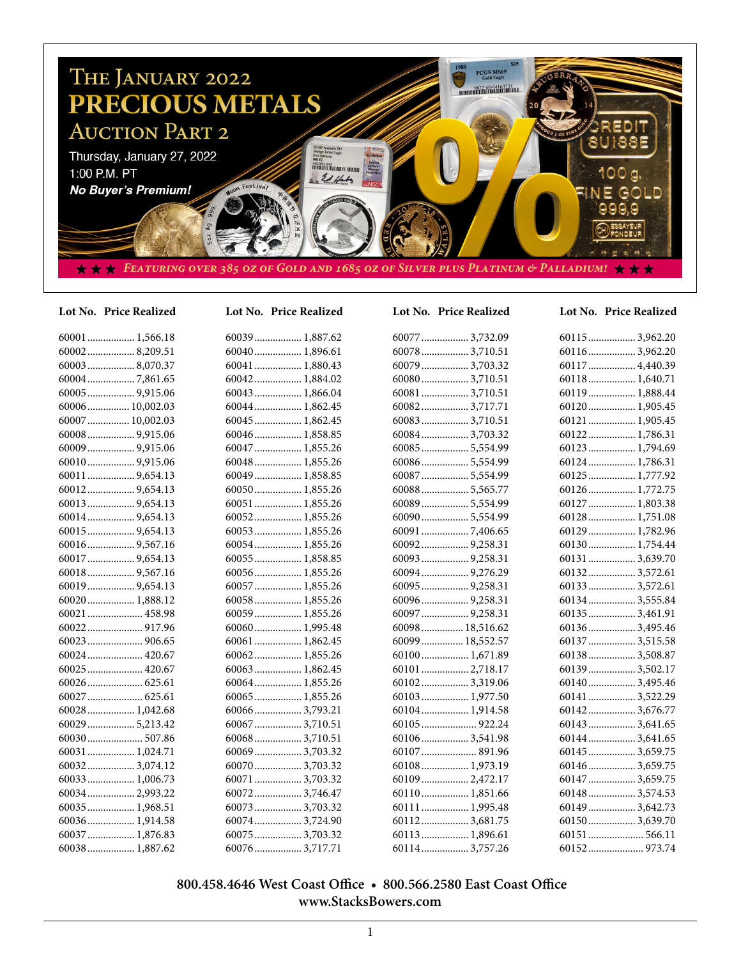

## **Lot No. Price Realized Lot No. Price Realized Lot No. Price Realized Lot No. Price Realized**

| 60001  1,566.18  |
|------------------|
| 600028,209.51    |
| 60003  8,070.37  |
|                  |
| 60005  9,915.06  |
| 60006 10,002.03  |
| 60007  10,002.03 |
|                  |
|                  |
|                  |
| 60011  9,654.13  |
|                  |
|                  |
|                  |
| 60015  9,654.13  |
|                  |
| 60017  9,654.13  |
| 60018  9,567.16  |
| 60019  9,654.13  |
| 60020 1,888.12   |
| 60021  458.98    |
|                  |
|                  |
| 60024  420.67    |
| 60025  420.67    |
|                  |
| 60027  625.61    |
| 60028 1,042.68   |
| 60029  5,213.42  |
| 60030 507.86     |
| 60031  1,024.71  |
| 60032 3,074.12   |
| 60033  1,006.73  |
| 60034 2,993.22   |
| 60035  1,968.51  |
| 60036 1,914.58   |
| 60037  1,876.83  |
| 60038 1,887.62   |

| 60039  1,887.62 |
|-----------------|
| 60040  1,896.61 |
| 60041  1,880.43 |
| 60042 1,884.02  |
| 60043  1,866.04 |
| 60044 1,862.45  |
| 60045  1,862.45 |
| 60046 1.858.85  |
| 60047  1,855.26 |
| 60048 1,855.26  |
| 60049  1,858.85 |
| 60050 1,855.26  |
| 60051  1,855.26 |
| 60052 1,855.26  |
| 60053  1,855.26 |
| 60054 1,855.26  |
| 60055  1,858.85 |
| 60056 1,855.26  |
| 60057  1,855.26 |
| 60058 1,855.26  |
| 60059 1,855.26  |
| 60060 1,995.48  |
| 60061  1,862.45 |
| 60062 1,855.26  |
| 60063  1,862.45 |
| 60064  1,855.26 |
| 60065  1,855.26 |
| 600663,793.21   |
| 60067  3,710.51 |
| 60068 3,710.51  |
| 60069  3,703.32 |
| 60070  3,703.32 |
| 60071  3,703.32 |
| 600723,746.47   |
| 60073  3,703.32 |
| 60074  3,724.90 |

60075.................. 3,703.32 60076.................. 3,717.71

60077.................. 3,732.09 60078.................. 3,710.51 60079.................. 3,703.32 60080.................. 3,710.51 60081.................. 3,710.51 60082.................. 3,717.71 60083.................. 3,710.51 60084.................. 3,703.32 60085.................. 5,554.99 60086.................. 5,554.99 60087.................. 5,554.99 60088.................. 5,565.77 60089.................. 5,554.99 60090.................. 5,554.99 60091.................. 7,406.65 60092.................. 9,258.31 60093.................. 9,258.31 60094.................. 9,276.29 60095.................. 9,258.31 60096.................. 9,258.31 60097.................. 9,258.31 60098................ 18,516.62 60099................ 18,552.57 60100.................. 1,671.89 60101.................. 2,718.17 60102.................. 3,319.06 60103.................. 1,977.50 60104.................. 1,914.58 60105..................... 922.24 60106.................. 3,541.98 60107..................... 891.96 60108.................. 1,973.19 60109.................. 2,472.17 60110.................. 1,851.66 60111.................. 1,995.48 60112.................. 3,681.75 60113.................. 1,896.61 60114.................. 3,757.26

| 60115  3,962.20 |
|-----------------|
| 601163,962.20   |
| 60117  4,440.39 |
| 60118 1,640.71  |
| 60119  1,888.44 |
| 60120 1,905.45  |
| 60121  1,905.45 |
| 60122 1,786.31  |
| 60123 1,794.69  |
| 60124 1,786.31  |
| 60125  1,777.92 |
|                 |
| 60127  1,803.38 |
| 60128 1,751.08  |
| 60129  1,782.96 |
| 60130 1,754.44  |
| 60131 3,639.70  |
| 60132 3,572.61  |
| 601333,572.61   |
| 60134 3,555.84  |
| 60135 3,461.91  |
| 601363,495.46   |
| 60137  3,515.58 |
| 60138 3,508.87  |
| 601393,502.17   |
| 601403,495.46   |
| 60141  3,522.29 |
| 601423,676.77   |
| 60143  3,641.65 |
| 601443,641.65   |
| 60145  3,659.75 |
| 601463,659.75   |
| 60147  3,659.75 |
| 601483,574.53   |
| 601493,642.73   |
| 601503,639.70   |
|                 |
|                 |

# **800.458.4646 West Coast Office • 800.566.2580 East Coast Office www.StacksBowers.com**